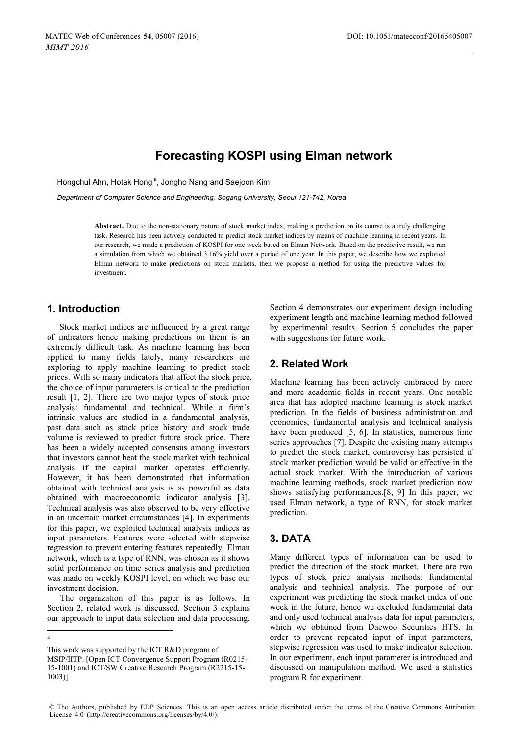# **Forecasting KOSPI using Elman network**

Hongchul Ahn, Hotak Hong<sup>a</sup>, Jongho Nang and Saejoon Kim

*Department of Computer Science and Engineering, Sogang University, Seoul 121-742, Korea*

**Abstract.** Due to the non-stationary nature of stock market index, making a prediction on its course is a truly challenging task. Research has been actively conducted to predict stock market indices by means of machine learning in recent years. In our research, we made a prediction of KOSPI for one week based on Elman Network. Based on the predictive result, we ran a simulation from which we obtained 3.16% yield over a period of one year. In this paper, we describe how we exploited Elman network to make predictions on stock markets, then we propose a method for using the predictive values for investment.

## **1. Introduction**

 $\overline{a}$ a

Stock market indices are influenced by a great range of indicators hence making predictions on them is an extremely difficult task. As machine learning has been applied to many fields lately, many researchers are exploring to apply machine learning to predict stock prices. With so many indicators that affect the stock price, the choice of input parameters is critical to the prediction result [1, 2]. There are two major types of stock price analysis: fundamental and technical. While a firm's intrinsic values are studied in a fundamental analysis, past data such as stock price history and stock trade volume is reviewed to predict future stock price. There has been a widely accepted consensus among investors that investors cannot beat the stock market with technical analysis if the capital market operates efficiently. However, it has been demonstrated that information obtained with technical analysis is as powerful as data obtained with macroeconomic indicator analysis [3]. Technical analysis was also observed to be very effective in an uncertain market circumstances [4]. In experiments for this paper, we exploited technical analysis indices as input parameters. Features were selected with stepwise regression to prevent entering features repeatedly. Elman network, which is a type of RNN, was chosen as it shows solid performance on time series analysis and prediction was made on weekly KOSPI level, on which we base our investment decision.

 The organization of this paper is as follows. In Section 2, related work is discussed. Section 3 explains our approach to input data selection and data processing.

This work was supported by the ICT R&D program of MSIP/IITP. [Open ICT Convergence Support Program (R0215- 15-1001) and ICT/SW Creative Research Program (R2215-15- 1003)]

Section 4 demonstrates our experiment design including experiment length and machine learning method followed by experimental results. Section 5 concludes the paper with suggestions for future work.

# **2. Related Work**

Machine learning has been actively embraced by more and more academic fields in recent years. One notable area that has adopted machine learning is stock market prediction. In the fields of business administration and economics, fundamental analysis and technical analysis have been produced [5, 6]. In statistics, numerous time series approaches [7]. Despite the existing many attempts to predict the stock market, controversy has persisted if stock market prediction would be valid or effective in the actual stock market. With the introduction of various machine learning methods, stock market prediction now shows satisfying performances.[8, 9] In this paper, we used Elman network, a type of RNN, for stock market prediction.

## **3. DATA**

Many different types of information can be used to predict the direction of the stock market. There are two types of stock price analysis methods: fundamental analysis and technical analysis. The purpose of our experiment was predicting the stock market index of one week in the future, hence we excluded fundamental data and only used technical analysis data for input parameters, which we obtained from Daewoo Securities HTS. In order to prevent repeated input of input parameters, stepwise regression was used to make indicator selection. In our experiment, each input parameter is introduced and discussed on manipulation method. We used a statistics program R for experiment.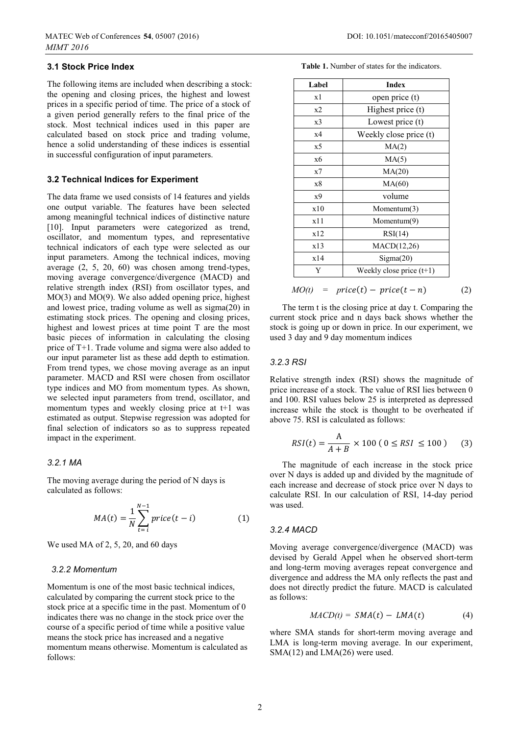### **3.1 Stock Price Index**

The following items are included when describing a stock: the opening and closing prices, the highest and lowest prices in a specific period of time. The price of a stock of a given period generally refers to the final price of the stock. Most technical indices used in this paper are calculated based on stock price and trading volume, hence a solid understanding of these indices is essential in successful configuration of input parameters.

### **3.2 Technical Indices for Experiment**

The data frame we used consists of 14 features and yields one output variable. The features have been selected among meaningful technical indices of distinctive nature [10]. Input parameters were categorized as trend, oscillator, and momentum types, and representative technical indicators of each type were selected as our input parameters. Among the technical indices, moving average (2, 5, 20, 60) was chosen among trend-types, moving average convergence/divergence (MACD) and relative strength index (RSI) from oscillator types, and MO(3) and MO(9). We also added opening price, highest and lowest price, trading volume as well as sigma(20) in estimating stock prices. The opening and closing prices, highest and lowest prices at time point T are the most basic pieces of information in calculating the closing price of T+1. Trade volume and sigma were also added to our input parameter list as these add depth to estimation. From trend types, we chose moving average as an input parameter. MACD and RSI were chosen from oscillator type indices and MO from momentum types. As shown, we selected input parameters from trend, oscillator, and momentum types and weekly closing price at t+1 was estimated as output. Stepwise regression was adopted for final selection of indicators so as to suppress repeated impact in the experiment.

#### *3.2.1 MA*

The moving average during the period of N days is calculated as follows:

$$
MA(t) = \frac{1}{N} \sum_{t=i}^{N-1} price(t - i)
$$
 (1)

We used MA of 2, 5, 20, and 60 days

### *3.2.2 Momentum*

Momentum is one of the most basic technical indices, calculated by comparing the current stock price to the stock price at a specific time in the past. Momentum of 0 indicates there was no change in the stock price over the course of a specific period of time while a positive value means the stock price has increased and a negative momentum means otherwise. Momentum is calculated as follows:

| <b>Table 1.</b> Number of states for the indicators. |  |  |  |
|------------------------------------------------------|--|--|--|
|------------------------------------------------------|--|--|--|

| Label | <b>Index</b>               |  |
|-------|----------------------------|--|
| x1    | open price (t)             |  |
| x2    | Highest price (t)          |  |
| x3    | Lowest price (t)           |  |
| x4    | Weekly close price (t)     |  |
| x5    | MA(2)                      |  |
| x6    | MA(5)                      |  |
| x7    | MA(20)                     |  |
| x8    | MA(60)                     |  |
| x9    | volume                     |  |
| x10   | Momentum $(3)$             |  |
| x11   | Momentum(9)                |  |
| x12   | RSI(14)                    |  |
| x13   | MACD(12,26)                |  |
| x14   | Sigma(20)                  |  |
| Y     | Weekly close price $(t+1)$ |  |

The term t is the closing price at day t. Comparing the current stock price and n days back shows whether the stock is going up or down in price. In our experiment, we used 3 day and 9 day momentum indices

### *3.2.3 RSI*

Relative strength index (RSI) shows the magnitude of price increase of a stock. The value of RSI lies between 0 and 100. RSI values below 25 is interpreted as depressed increase while the stock is thought to be overheated if above 75. RSI is calculated as follows:

$$
RSI(t) = \frac{A}{A+B} \times 100 (0 \leq RSI \leq 100)
$$
 (3)

The magnitude of each increase in the stock price over N days is added up and divided by the magnitude of each increase and decrease of stock price over N days to calculate RSI. In our calculation of RSI, 14-day period was used.

### *3.2.4 MACD*

Moving average convergence/divergence (MACD) was devised by Gerald Appel when he observed short-term and long-term moving averages repeat convergence and divergence and address the MA only reflects the past and does not directly predict the future. MACD is calculated as follows:

$$
MACD(t) = SMA(t) - LMA(t) \tag{4}
$$

where SMA stands for short-term moving average and LMA is long-term moving average. In our experiment, SMA(12) and LMA(26) were used.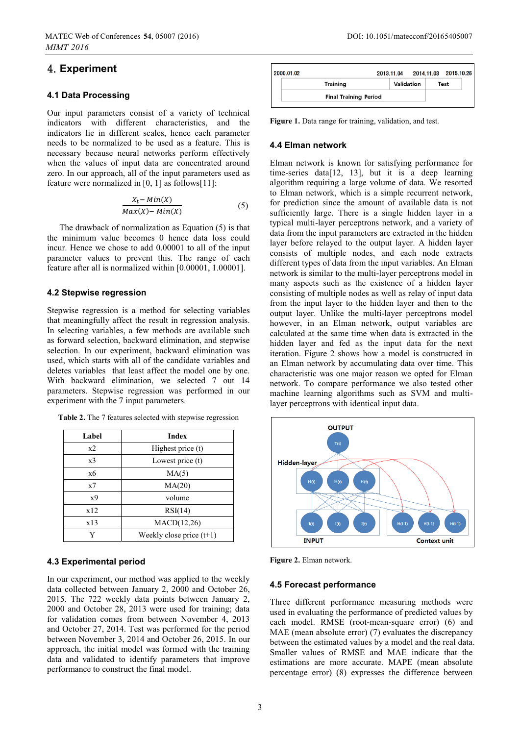# [UG**Experiment**G

### **4.1 Data Processing**

Our input parameters consist of a variety of technical indicators with different characteristics, and the indicators lie in different scales, hence each parameter needs to be normalized to be used as a feature. This is necessary because neural networks perform effectively when the values of input data are concentrated around zero. In our approach, all of the input parameters used as feature were normalized in [0, 1] as follows[11]:

$$
\frac{X_t - Min(X)}{Max(X) - Min(X)}\tag{5}
$$

The drawback of normalization as Equation (5) is that the minimum value becomes 0 hence data loss could incur. Hence we chose to add 0.00001 to all of the input parameter values to prevent this. The range of each feature after all is normalized within [0.00001, 1.00001].

### **4.2 Stepwise regression**

Stepwise regression is a method for selecting variables that meaningfully affect the result in regression analysis. In selecting variables, a few methods are available such as forward selection, backward elimination, and stepwise selection. In our experiment, backward elimination was used, which starts with all of the candidate variables and deletes variables that least affect the model one by one. With backward elimination, we selected 7 out 14 parameters. Stepwise regression was performed in our experiment with the 7 input parameters.

| Label          | <b>Index</b>               |  |  |
|----------------|----------------------------|--|--|
| x2             | Highest price (t)          |  |  |
| x <sub>3</sub> | Lowest price (t)           |  |  |
| x6             | MA(5)                      |  |  |
| x7             | MA(20)                     |  |  |
| x9             | volume                     |  |  |
| x12            | RSI(14)                    |  |  |
| x13            | MACD(12,26)                |  |  |
| V              | Weekly close price $(t+1)$ |  |  |

**Table 2.** The 7 features selected with stepwise regression

## **4.3 Experimental period**

In our experiment, our method was applied to the weekly data collected between January 2, 2000 and October 26, 2015. The 722 weekly data points between January 2, 2000 and October 28, 2013 were used for training; data for validation comes from between November 4, 2013 and October 27, 2014. Test was performed for the period between November 3, 2014 and October 26, 2015. In our approach, the initial model was formed with the training data and validated to identify parameters that improve performance to construct the final model.



Figure 1. Data range for training, validation, and test.

### **4.4 Elman network**

Elman network is known for satisfying performance for time-series data[12, 13], but it is a deep learning algorithm requiring a large volume of data. We resorted to Elman network, which is a simple recurrent network, for prediction since the amount of available data is not sufficiently large. There is a single hidden layer in a typical multi-layer perceptrons network, and a variety of data from the input parameters are extracted in the hidden layer before relayed to the output layer. A hidden layer consists of multiple nodes, and each node extracts different types of data from the input variables. An Elman network is similar to the multi-layer perceptrons model in many aspects such as the existence of a hidden layer consisting of multiple nodes as well as relay of input data from the input layer to the hidden layer and then to the output layer. Unlike the multi-layer perceptrons model however, in an Elman network, output variables are calculated at the same time when data is extracted in the hidden layer and fed as the input data for the next iteration. Figure 2 shows how a model is constructed in an Elman network by accumulating data over time. This characteristic was one major reason we opted for Elman network. To compare performance we also tested other machine learning algorithms such as SVM and multilayer perceptrons with identical input data.



**Figure 2.** Elman network.

### **4.5 Forecast performance**

Three different performance measuring methods were used in evaluating the performance of predicted values by each model. RMSE (root-mean-square error) (6) and MAE (mean absolute error) (7) evaluates the discrepancy between the estimated values by a model and the real data. Smaller values of RMSE and MAE indicate that the estimations are more accurate. MAPE (mean absolute percentage error) (8) expresses the difference between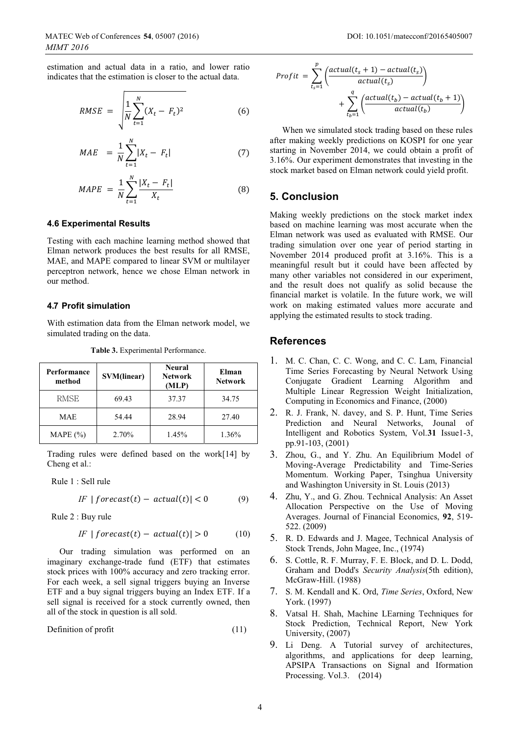estimation and actual data in a ratio, and lower ratio indicates that the estimation is closer to the actual data.

$$
RMSE = \sqrt{\frac{1}{N} \sum_{t=1}^{N} (X_t - F_t)^2}
$$
 (6)

$$
MAE = \frac{1}{N} \sum_{t=1}^{N} |X_t - F_t|
$$
 (7)

$$
MAPE = \frac{1}{N} \sum_{t=1}^{N} \frac{|X_t - F_t|}{X_t}
$$
 (8)

### **4.6 Experimental Results**

Testing with each machine learning method showed that Elman network produces the best results for all RMSE, MAE, and MAPE compared to linear SVM or multilayer perceptron network, hence we chose Elman network in our method.

#### **4. Profit simulation 7**

With estimation data from the Elman network model, we simulated trading on the data.

**Table 3.** Experimental Performance.

| Performance<br>method | SVM(linear) | <b>Neural</b><br><b>Network</b><br>(MLP) | Elman<br><b>Network</b> |
|-----------------------|-------------|------------------------------------------|-------------------------|
| <b>RMSE</b>           | 69.43       | 37.37                                    | 34.75                   |
| <b>MAE</b>            | 54.44       | 28.94                                    | 27.40                   |
| MAPE $(\% )$          | 2.70%       | $1.45\%$                                 | 1.36%                   |

Trading rules were defined based on the work[14] by Cheng et al.:

Rule 1 : Sell rule

$$
IF \mid forecast(t) - actual(t) \mid < 0 \tag{9}
$$

Rule 2 : Buy rule

$$
IF | forecast(t) - actual(t)| > 0
$$
 (10)

Our trading simulation was performed on an imaginary exchange-trade fund (ETF) that estimates stock prices with 100% accuracy and zero tracking error. For each week, a sell signal triggers buying an Inverse ETF and a buy signal triggers buying an Index ETF. If a sell signal is received for a stock currently owned, then all of the stock in question is all sold.

$$
Definition of profit
$$
\n
$$
(11)
$$

$$
Profit = \sum_{t_s=1}^{p} \left( \frac{actual(t_s+1) - actual(t_s)}{actual(t_s)} \right) + \sum_{t_b=1}^{q} \left( \frac{actual(t_b) - actual(t_b+1)}{actual(t_b)} \right)
$$

When we simulated stock trading based on these rules after making weekly predictions on KOSPI for one year starting in November 2014, we could obtain a profit of 3.16%. Our experiment demonstrates that investing in the stock market based on Elman network could yield profit.

## **5. Conclusion**

Making weekly predictions on the stock market index based on machine learning was most accurate when the Elman network was used as evaluated with RMSE. Our trading simulation over one year of period starting in November 2014 produced profit at 3.16%. This is a meaningful result but it could have been affected by many other variables not considered in our experiment, and the result does not qualify as solid because the financial market is volatile. In the future work, we will work on making estimated values more accurate and applying the estimated results to stock trading.

### **References**

- 1. M. C. Chan, C. C. Wong, and C. C. Lam, Financial Time Series Forecasting by Neural Network Using Conjugate Gradient Learning Algorithm and Multiple Linear Regression Weight Initialization, Computing in Economics and Finance, (2000)
- 2. R. J. Frank, N. davey, and S. P. Hunt, Time Series Prediction and Neural Networks, Jounal of Intelligent and Robotics System, Vol.**31** Issue1-3, pp.91-103, (2001)
- 3. Zhou, G., and Y. Zhu. An Equilibrium Model of Moving-Average Predictability and Time-Series Momentum. Working Paper, Tsinghua University and Washington University in St. Louis (2013)
- 4. Zhu, Y., and G. Zhou. Technical Analysis: An Asset Allocation Perspective on the Use of Moving Averages. Journal of Financial Economics, **92**, 519- 522. (2009)
- 5. R. D. Edwards and J. Magee, Technical Analysis of Stock Trends, John Magee, Inc., (1974)
- 6. S. Cottle, R. F. Murray, F. E. Block, and D. L. Dodd, Graham and Dodd's *Security Analysis*(5th edition), McGraw-Hill. (1988)
- 7. S. M. Kendall and K. Ord, *Time Series*, Oxford, New York. (1997)
- 8. Vatsal H. Shah, Machine LEarning Techniques for Stock Prediction, Technical Report, New York University, (2007)
- 9. Li Deng. A Tutorial survey of architectures, algorithms, and applications for deep learning, APSIPA Transactions on Signal and Iformation Processing. Vol.3. (2014)